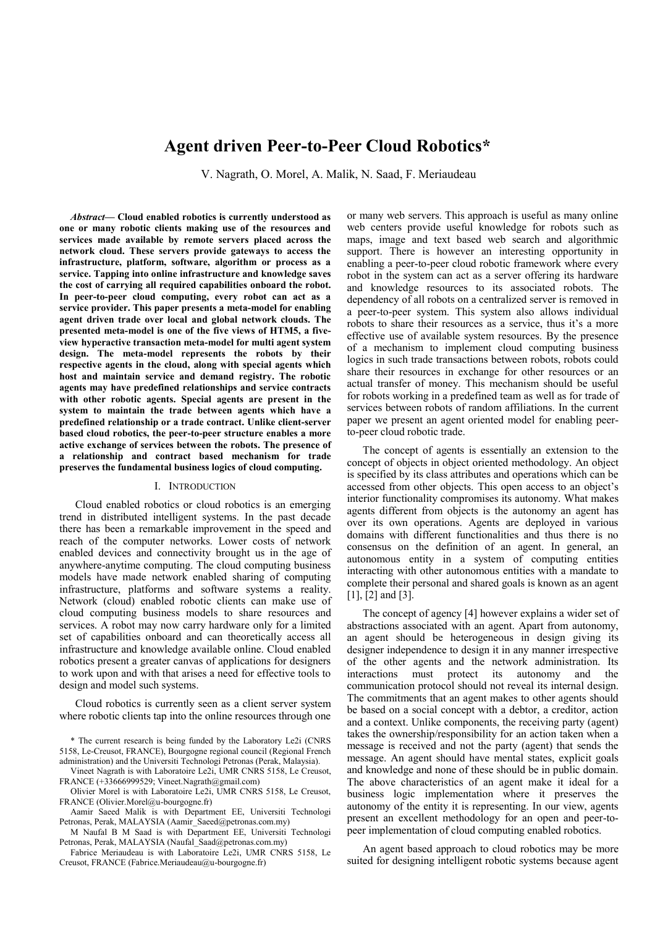# **Agent driven Peer-to-Peer Cloud Robotics\***

V. Nagrath, O. Morel, A. Malik, N. Saad, F. Meriaudeau

*Abstract***— Cloud enabled robotics is currently understood as one or many robotic clients making use of the resources and services made available by remote servers placed across the network cloud. These servers provide gateways to access the infrastructure, platform, software, algorithm or process as a service. Tapping into online infrastructure and knowledge saves the cost of carrying all required capabilities onboard the robot. In peer-to-peer cloud computing, every robot can act as a service provider. This paper presents a meta-model for enabling agent driven trade over local and global network clouds. The presented meta-model is one of the five views of HTM5, a fiveview hyperactive transaction meta-model for multi agent system design. The meta-model represents the robots by their respective agents in the cloud, along with special agents which host and maintain service and demand registry. The robotic agents may have predefined relationships and service contracts with other robotic agents. Special agents are present in the system to maintain the trade between agents which have a predefined relationship or a trade contract. Unlike client-server based cloud robotics, the peer-to-peer structure enables a more active exchange of services between the robots. The presence of a relationship and contract based mechanism for trade preserves the fundamental business logics of cloud computing.**

#### I. INTRODUCTION

Cloud enabled robotics or cloud robotics is an emerging trend in distributed intelligent systems. In the past decade there has been a remarkable improvement in the speed and reach of the computer networks. Lower costs of network enabled devices and connectivity brought us in the age of anywhere-anytime computing. The cloud computing business models have made network enabled sharing of computing infrastructure, platforms and software systems a reality. Network (cloud) enabled robotic clients can make use of cloud computing business models to share resources and services. A robot may now carry hardware only for a limited set of capabilities onboard and can theoretically access all infrastructure and knowledge available online. Cloud enabled robotics present a greater canvas of applications for designers to work upon and with that arises a need for effective tools to design and model such systems.

Cloud robotics is currently seen as a client server system where robotic clients tap into the online resources through one

or many web servers. This approach is useful as many online web centers provide useful knowledge for robots such as maps, image and text based web search and algorithmic support. There is however an interesting opportunity in enabling a peer-to-peer cloud robotic framework where every robot in the system can act as a server offering its hardware and knowledge resources to its associated robots. The dependency of all robots on a centralized server is removed in a peer-to-peer system. This system also allows individual robots to share their resources as a service, thus it's a more effective use of available system resources. By the presence of a mechanism to implement cloud computing business logics in such trade transactions between robots, robots could share their resources in exchange for other resources or an actual transfer of money. This mechanism should be useful for robots working in a predefined team as well as for trade of services between robots of random affiliations. In the current paper we present an agent oriented model for enabling peerto-peer cloud robotic trade.

The concept of agents is essentially an extension to the concept of objects in object oriented methodology. An object is specified by its class attributes and operations which can be accessed from other objects. This open access to an object's interior functionality compromises its autonomy. What makes agents different from objects is the autonomy an agent has over its own operations. Agents are deployed in various domains with different functionalities and thus there is no consensus on the definition of an agent. In general, an autonomous entity in a system of computing entities interacting with other autonomous entities with a mandate to complete their personal and shared goals is known as an agent [1], [2] and [3].

The concept of agency [4] however explains a wider set of abstractions associated with an agent. Apart from autonomy, an agent should be heterogeneous in design giving its designer independence to design it in any manner irrespective of the other agents and the network administration. Its interactions must protect its autonomy and the communication protocol should not reveal its internal design. The commitments that an agent makes to other agents should be based on a social concept with a debtor, a creditor, action and a context. Unlike components, the receiving party (agent) takes the ownership/responsibility for an action taken when a message is received and not the party (agent) that sends the message. An agent should have mental states, explicit goals and knowledge and none of these should be in public domain. The above characteristics of an agent make it ideal for a business logic implementation where it preserves the autonomy of the entity it is representing. In our view, agents present an excellent methodology for an open and peer-topeer implementation of cloud computing enabled robotics.

An agent based approach to cloud robotics may be more suited for designing intelligent robotic systems because agent

<sup>\*</sup> The current research is being funded by the Laboratory Le2i (CNRS 5158, Le-Creusot, FRANCE), Bourgogne regional council (Regional French administration) and the Universiti Technologi Petronas (Perak, Malaysia).

Vineet Nagrath is with Laboratoire Le2i, UMR CNRS 5158, Le Creusot, FRANCE (+33666999529; Vineet.Nagrath@gmail.com)

Olivier Morel is with Laboratoire Le2i, UMR CNRS 5158, Le Creusot, FRANCE (Olivier.Morel@u-bourgogne.fr)

Aamir Saeed Malik is with Department EE, Universiti Technologi Petronas, Perak, MALAYSIA (Aamir\_Saeed@petronas.com.my)

M Naufal B M Saad is with Department EE, Universiti Technologi Petronas, Perak, MALAYSIA (Naufal\_Saad@petronas.com.my)

Fabrice Meriaudeau is with Laboratoire Le2i, UMR CNRS 5158, Le Creusot, FRANCE (Fabrice.Meriaudeau@u-bourgogne.fr)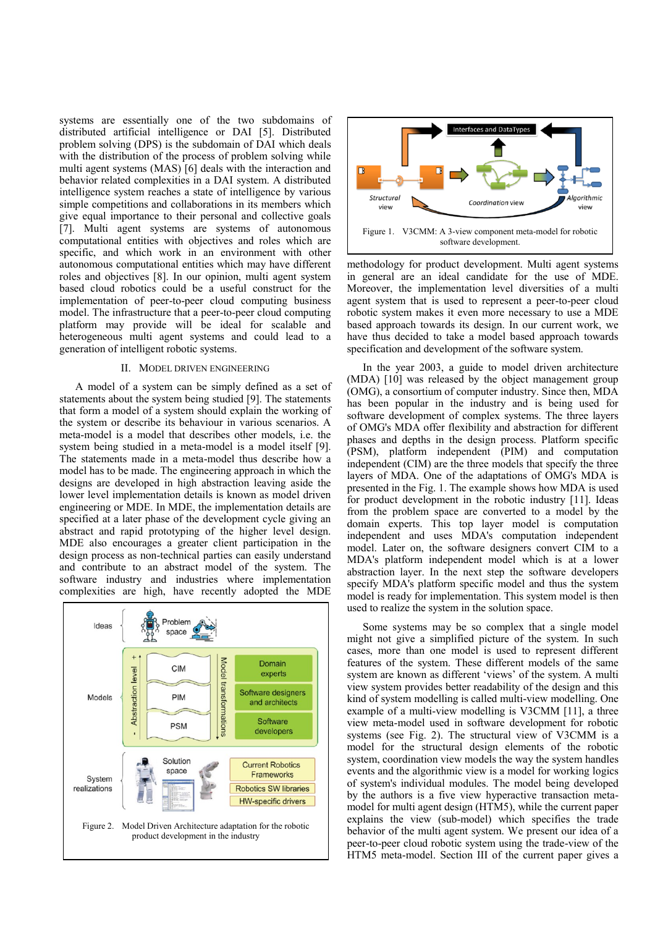systems are essentially one of the two subdomains of distributed artificial intelligence or DAI [5]. Distributed problem solving (DPS) is the subdomain of DAI which deals with the distribution of the process of problem solving while multi agent systems (MAS) [6] deals with the interaction and behavior related complexities in a DAI system. A distributed intelligence system reaches a state of intelligence by various simple competitions and collaborations in its members which give equal importance to their personal and collective goals [7]. Multi agent systems are systems of autonomous computational entities with objectives and roles which are specific, and which work in an environment with other autonomous computational entities which may have different roles and objectives [8]. In our opinion, multi agent system based cloud robotics could be a useful construct for the implementation of peer-to-peer cloud computing business model. The infrastructure that a peer-to-peer cloud computing platform may provide will be ideal for scalable and heterogeneous multi agent systems and could lead to a generation of intelligent robotic systems.

# II. MODEL DRIVEN ENGINEERING

A model of a system can be simply defined as a set of statements about the system being studied [9]. The statements that form a model of a system should explain the working of the system or describe its behaviour in various scenarios. A meta-model is a model that describes other models, i.e. the system being studied in a meta-model is a model itself [9]. The statements made in a meta-model thus describe how a model has to be made. The engineering approach in which the designs are developed in high abstraction leaving aside the lower level implementation details is known as model driven engineering or MDE. In MDE, the implementation details are specified at a later phase of the development cycle giving an abstract and rapid prototyping of the higher level design. MDE also encourages a greater client participation in the design process as non-technical parties can easily understand and contribute to an abstract model of the system. The software industry and industries where implementation complexities are high, have recently adopted the MDE





methodology for product development. Multi agent systems in general are an ideal candidate for the use of MDE. Moreover, the implementation level diversities of a multi agent system that is used to represent a peer-to-peer cloud robotic system makes it even more necessary to use a MDE based approach towards its design. In our current work, we have thus decided to take a model based approach towards specification and development of the software system.

In the year 2003, a guide to model driven architecture (MDA) [10] was released by the object management group (OMG), a consortium of computer industry. Since then, MDA has been popular in the industry and is being used for software development of complex systems. The three layers of OMG's MDA offer flexibility and abstraction for different phases and depths in the design process. Platform specific (PSM), platform independent (PIM) and computation independent (CIM) are the three models that specify the three layers of MDA. One of the adaptations of OMG's MDA is presented in the Fig. 1. The example shows how MDA is used for product development in the robotic industry [11]. Ideas from the problem space are converted to a model by the domain experts. This top layer model is computation independent and uses MDA's computation independent model. Later on, the software designers convert CIM to a MDA's platform independent model which is at a lower abstraction layer. In the next step the software developers specify MDA's platform specific model and thus the system model is ready for implementation. This system model is then used to realize the system in the solution space.

Some systems may be so complex that a single model might not give a simplified picture of the system. In such cases, more than one model is used to represent different features of the system. These different models of the same system are known as different 'views' of the system. A multi view system provides better readability of the design and this kind of system modelling is called multi-view modelling. One example of a multi-view modelling is V3CMM [11], a three view meta-model used in software development for robotic systems (see Fig. 2). The structural view of V3CMM is a model for the structural design elements of the robotic system, coordination view models the way the system handles events and the algorithmic view is a model for working logics of system's individual modules. The model being developed by the authors is a five view hyperactive transaction metamodel for multi agent design (HTM5), while the current paper explains the view (sub-model) which specifies the trade behavior of the multi agent system. We present our idea of a peer-to-peer cloud robotic system using the trade-view of the HTM5 meta-model. Section III of the current paper gives a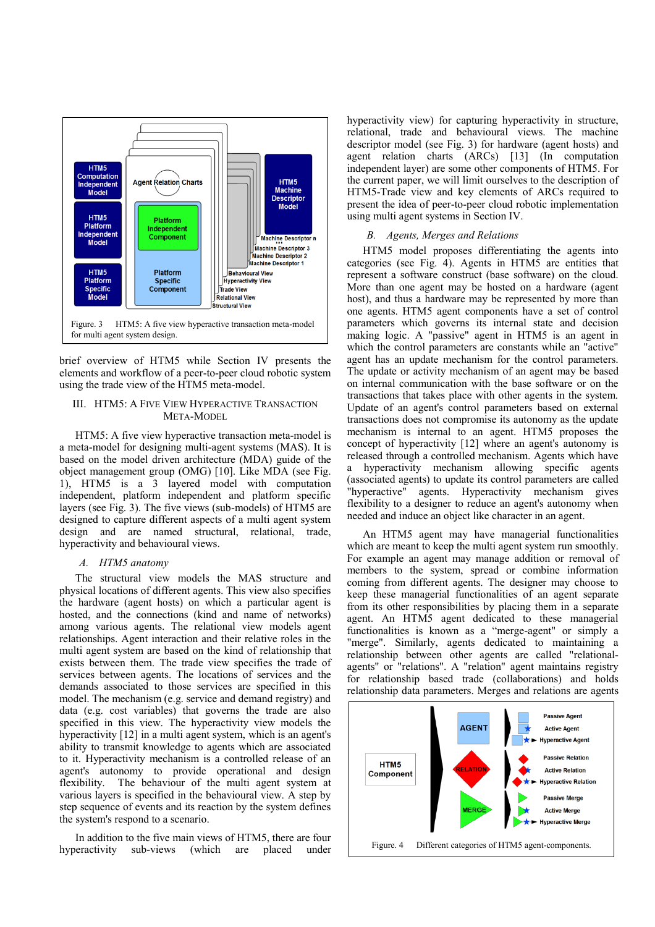

brief overview of HTM5 while Section IV presents the elements and workflow of a peer-to-peer cloud robotic system using the trade view of the HTM5 meta-model.

# III. HTM5: A FIVE VIEW HYPERACTIVE TRANSACTION META-MODEL

HTM5: A five view hyperactive transaction meta-model is a meta-model for designing multi-agent systems (MAS). It is based on the model driven architecture (MDA) guide of the object management group (OMG) [10]. Like MDA (see Fig. 1), HTM5 is a 3 layered model with computation independent, platform independent and platform specific layers (see Fig. 3). The five views (sub-models) of HTM5 are designed to capture different aspects of a multi agent system design and are named structural, relational, trade, hyperactivity and behavioural views.

## *A. HTM5 anatomy*

The structural view models the MAS structure and physical locations of different agents. This view also specifies the hardware (agent hosts) on which a particular agent is hosted, and the connections (kind and name of networks) among various agents. The relational view models agent relationships. Agent interaction and their relative roles in the multi agent system are based on the kind of relationship that exists between them. The trade view specifies the trade of services between agents. The locations of services and the demands associated to those services are specified in this model. The mechanism (e.g. service and demand registry) and data (e.g. cost variables) that governs the trade are also specified in this view. The hyperactivity view models the hyperactivity [12] in a multi agent system, which is an agent's ability to transmit knowledge to agents which are associated to it. Hyperactivity mechanism is a controlled release of an agent's autonomy to provide operational and design flexibility. The behaviour of the multi agent system at various layers is specified in the behavioural view. A step by step sequence of events and its reaction by the system defines the system's respond to a scenario.

In addition to the five main views of HTM5, there are four hyperactivity sub-views (which are placed under

hyperactivity view) for capturing hyperactivity in structure, relational, trade and behavioural views. The machine descriptor model (see Fig. 3) for hardware (agent hosts) and agent relation charts (ARCs) [13] (In computation independent layer) are some other components of HTM5. For the current paper, we will limit ourselves to the description of HTM5-Trade view and key elements of ARCs required to present the idea of peer-to-peer cloud robotic implementation using multi agent systems in Section IV.

# *B. Agents, Merges and Relations*

HTM5 model proposes differentiating the agents into categories (see Fig. 4). Agents in HTM5 are entities that represent a software construct (base software) on the cloud. More than one agent may be hosted on a hardware (agent host), and thus a hardware may be represented by more than one agents. HTM5 agent components have a set of control parameters which governs its internal state and decision making logic. A "passive" agent in HTM5 is an agent in which the control parameters are constants while an "active" agent has an update mechanism for the control parameters. The update or activity mechanism of an agent may be based on internal communication with the base software or on the transactions that takes place with other agents in the system. Update of an agent's control parameters based on external transactions does not compromise its autonomy as the update mechanism is internal to an agent. HTM5 proposes the concept of hyperactivity [12] where an agent's autonomy is released through a controlled mechanism. Agents which have a hyperactivity mechanism allowing specific agents (associated agents) to update its control parameters are called "hyperactive" agents. Hyperactivity mechanism gives flexibility to a designer to reduce an agent's autonomy when needed and induce an object like character in an agent.

An HTM5 agent may have managerial functionalities which are meant to keep the multi agent system run smoothly. For example an agent may manage addition or removal of members to the system, spread or combine information coming from different agents. The designer may choose to keep these managerial functionalities of an agent separate from its other responsibilities by placing them in a separate agent. An HTM5 agent dedicated to these managerial functionalities is known as a "merge-agent" or simply a "merge". Similarly, agents dedicated to maintaining a relationship between other agents are called "relationalagents" or "relations". A "relation" agent maintains registry for relationship based trade (collaborations) and holds relationship data parameters. Merges and relations are agents

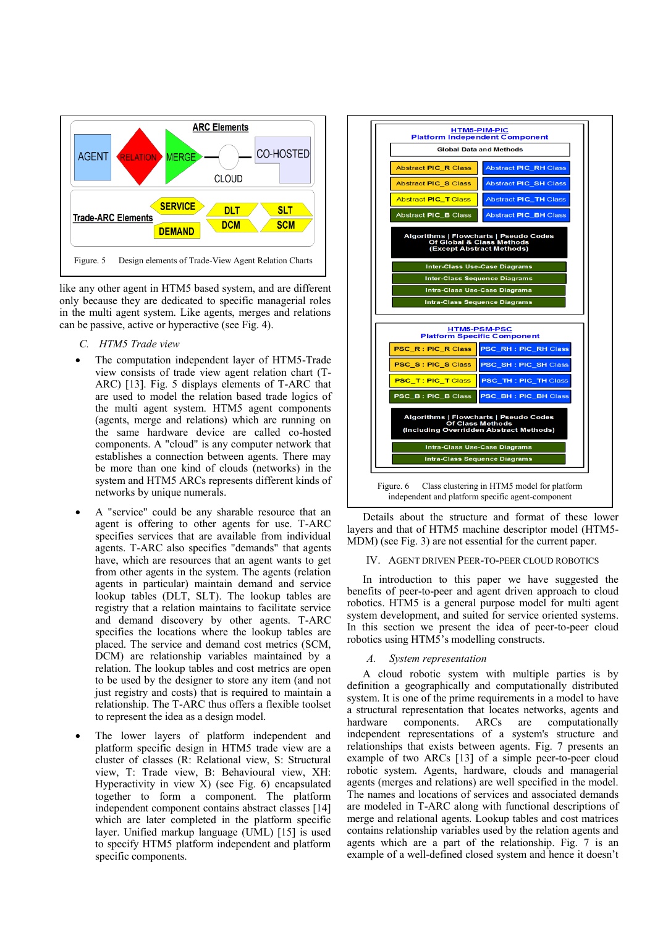

like any other agent in HTM5 based system, and are different only because they are dedicated to specific managerial roles in the multi agent system. Like agents, merges and relations can be passive, active or hyperactive (see Fig. 4).

- *C. HTM5 Trade view*
- The computation independent layer of HTM5-Trade view consists of trade view agent relation chart (T-ARC) [13]. Fig. 5 displays elements of T-ARC that are used to model the relation based trade logics of the multi agent system. HTM5 agent components (agents, merge and relations) which are running on the same hardware device are called co-hosted components. A "cloud" is any computer network that establishes a connection between agents. There may be more than one kind of clouds (networks) in the system and HTM5 ARCs represents different kinds of networks by unique numerals.
- A "service" could be any sharable resource that an agent is offering to other agents for use. T-ARC specifies services that are available from individual agents. T-ARC also specifies "demands" that agents have, which are resources that an agent wants to get from other agents in the system. The agents (relation agents in particular) maintain demand and service lookup tables (DLT, SLT). The lookup tables are registry that a relation maintains to facilitate service and demand discovery by other agents. T-ARC specifies the locations where the lookup tables are placed. The service and demand cost metrics (SCM, DCM) are relationship variables maintained by a relation. The lookup tables and cost metrics are open to be used by the designer to store any item (and not just registry and costs) that is required to maintain a relationship. The T-ARC thus offers a flexible toolset to represent the idea as a design model.
- The lower layers of platform independent and platform specific design in HTM5 trade view are a cluster of classes (R: Relational view, S: Structural view, T: Trade view, B: Behavioural view, XH: Hyperactivity in view X) (see Fig. 6) encapsulated together to form a component. The platform independent component contains abstract classes [14] which are later completed in the platform specific layer. Unified markup language (UML) [15] is used to specify HTM5 platform independent and platform specific components.



Details about the structure and format of these lower layers and that of HTM5 machine descriptor model (HTM5- MDM) (see Fig. 3) are not essential for the current paper.

# IV. AGENT DRIVEN PEER-TO-PEER CLOUD ROBOTICS

In introduction to this paper we have suggested the benefits of peer-to-peer and agent driven approach to cloud robotics. HTM5 is a general purpose model for multi agent system development, and suited for service oriented systems. In this section we present the idea of peer-to-peer cloud robotics using HTM5's modelling constructs.

## *A. System representation*

A cloud robotic system with multiple parties is by definition a geographically and computationally distributed system. It is one of the prime requirements in a model to have a structural representation that locates networks, agents and hardware components. ARCs are computationally independent representations of a system's structure and relationships that exists between agents. Fig. 7 presents an example of two ARCs [13] of a simple peer-to-peer cloud robotic system. Agents, hardware, clouds and managerial agents (merges and relations) are well specified in the model. The names and locations of services and associated demands are modeled in T-ARC along with functional descriptions of merge and relational agents. Lookup tables and cost matrices contains relationship variables used by the relation agents and agents which are a part of the relationship. Fig. 7 is an example of a well-defined closed system and hence it doesn't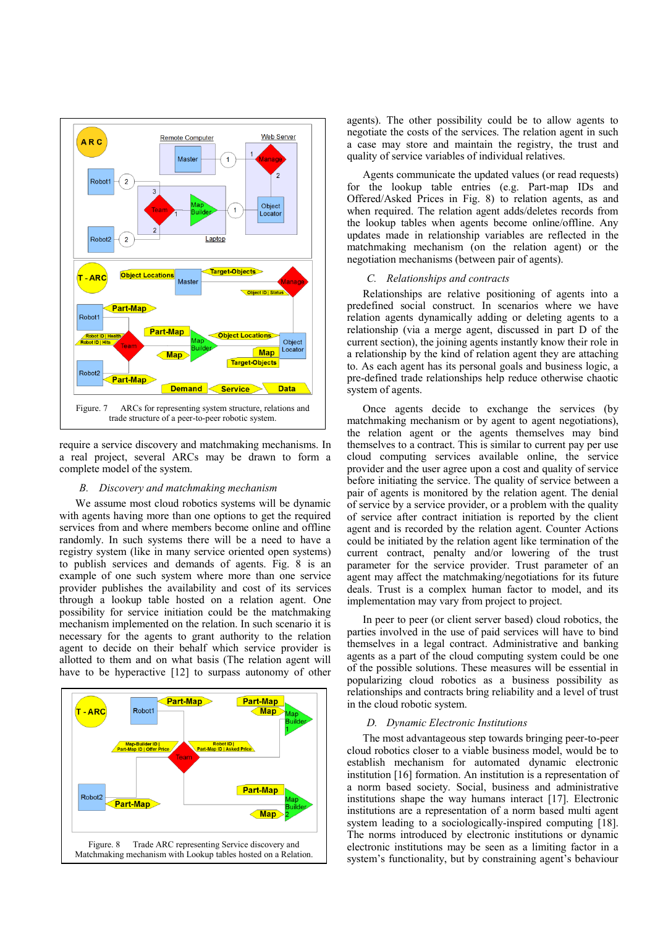

require a service discovery and matchmaking mechanisms. In a real project, several ARCs may be drawn to form a complete model of the system.

# *B. Discovery and matchmaking mechanism*

We assume most cloud robotics systems will be dynamic with agents having more than one options to get the required services from and where members become online and offline randomly. In such systems there will be a need to have a registry system (like in many service oriented open systems) to publish services and demands of agents. Fig. 8 is an example of one such system where more than one service provider publishes the availability and cost of its services through a lookup table hosted on a relation agent. One possibility for service initiation could be the matchmaking mechanism implemented on the relation. In such scenario it is necessary for the agents to grant authority to the relation agent to decide on their behalf which service provider is allotted to them and on what basis (The relation agent will have to be hyperactive [12] to surpass autonomy of other



agents). The other possibility could be to allow agents to negotiate the costs of the services. The relation agent in such a case may store and maintain the registry, the trust and quality of service variables of individual relatives.

Agents communicate the updated values (or read requests) for the lookup table entries (e.g. Part-map IDs and Offered/Asked Prices in Fig. 8) to relation agents, as and when required. The relation agent adds/deletes records from the lookup tables when agents become online/offline. Any updates made in relationship variables are reflected in the matchmaking mechanism (on the relation agent) or the negotiation mechanisms (between pair of agents).

#### *C. Relationships and contracts*

Relationships are relative positioning of agents into a predefined social construct. In scenarios where we have relation agents dynamically adding or deleting agents to a relationship (via a merge agent, discussed in part D of the current section), the joining agents instantly know their role in a relationship by the kind of relation agent they are attaching to. As each agent has its personal goals and business logic, a pre-defined trade relationships help reduce otherwise chaotic system of agents.

Once agents decide to exchange the services (by matchmaking mechanism or by agent to agent negotiations), the relation agent or the agents themselves may bind themselves to a contract. This is similar to current pay per use cloud computing services available online, the service provider and the user agree upon a cost and quality of service before initiating the service. The quality of service between a pair of agents is monitored by the relation agent. The denial of service by a service provider, or a problem with the quality of service after contract initiation is reported by the client agent and is recorded by the relation agent. Counter Actions could be initiated by the relation agent like termination of the current contract, penalty and/or lowering of the trust parameter for the service provider. Trust parameter of an agent may affect the matchmaking/negotiations for its future deals. Trust is a complex human factor to model, and its implementation may vary from project to project.

In peer to peer (or client server based) cloud robotics, the parties involved in the use of paid services will have to bind themselves in a legal contract. Administrative and banking agents as a part of the cloud computing system could be one of the possible solutions. These measures will be essential in popularizing cloud robotics as a business possibility as relationships and contracts bring reliability and a level of trust in the cloud robotic system.

#### *D. Dynamic Electronic Institutions*

The most advantageous step towards bringing peer-to-peer cloud robotics closer to a viable business model, would be to establish mechanism for automated dynamic electronic institution [16] formation. An institution is a representation of a norm based society. Social, business and administrative institutions shape the way humans interact [17]. Electronic institutions are a representation of a norm based multi agent system leading to a sociologically-inspired computing [18]. The norms introduced by electronic institutions or dynamic electronic institutions may be seen as a limiting factor in a system's functionality, but by constraining agent's behaviour